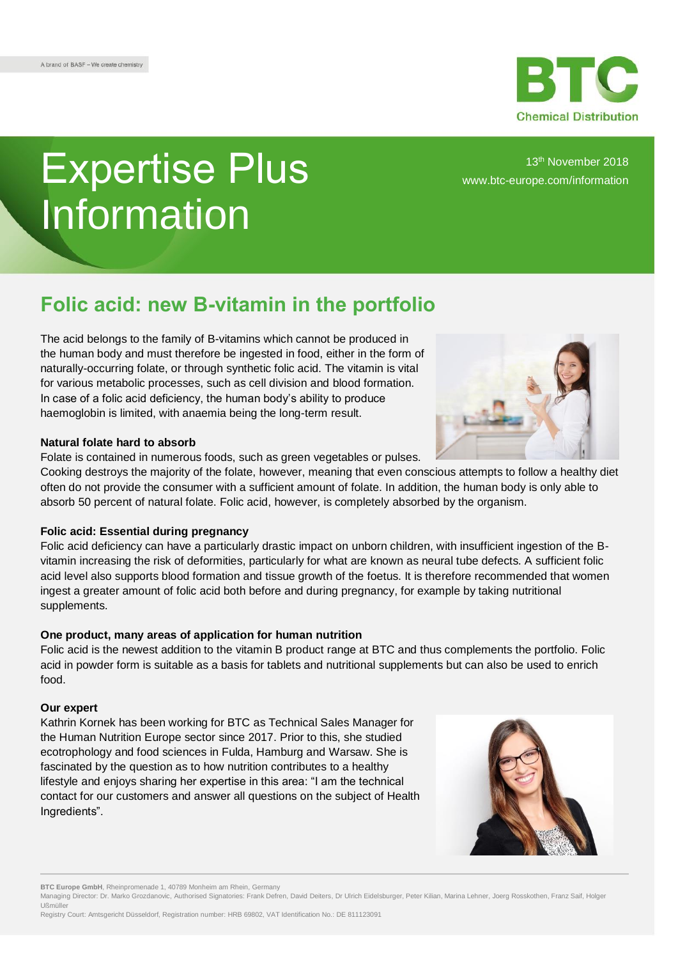

# Expertise Plus Information

13th November 2018 [www.btc-europe.com/information](http://www.btc-europe.com/en/DE/newsletter-form/)

## **Folic acid: new B-vitamin in the portfolio**

The acid belongs to the family of B-vitamins which cannot be produced in the human body and must therefore be ingested in food, either in the form of naturally-occurring folate, or through synthetic folic acid. The vitamin is vital for various metabolic processes, such as cell division and blood formation. In case of a folic acid deficiency, the human body's ability to produce haemoglobin is limited, with anaemia being the long-term result.

#### **Natural folate hard to absorb**

Folate is contained in numerous foods, such as green vegetables or pulses.

Cooking destroys the majority of the folate, however, meaning that even conscious attempts to follow a healthy diet often do not provide the consumer with a sufficient amount of folate. In addition, the human body is only able to absorb 50 percent of natural folate. Folic acid, however, is completely absorbed by the organism.

### **Folic acid: Essential during pregnancy**

Folic acid deficiency can have a particularly drastic impact on unborn children, with insufficient ingestion of the Bvitamin increasing the risk of deformities, particularly for what are known as neural tube defects. A sufficient folic acid level also supports blood formation and tissue growth of the foetus. It is therefore recommended that women ingest a greater amount of folic acid both before and during pregnancy, for example by taking nutritional supplements.

### **One product, many areas of application for human nutrition**

Folic acid is the newest addition to the vitamin B product range at BTC and thus complements the portfolio. Folic acid in powder form is suitable as a basis for tablets and nutritional supplements but can also be used to enrich food.

### **Our expert**

Kathrin Kornek has been working for BTC as Technical Sales Manager for the Human Nutrition Europe sector since 2017. Prior to this, she studied ecotrophology and food sciences in Fulda, Hamburg and Warsaw. She is fascinated by the question as to how nutrition contributes to a healthy lifestyle and enjoys sharing her expertise in this area: "I am the technical contact for our customers and answer all questions on the subject of Health Ingredients".



**BTC Europe GmbH**, Rheinpromenade 1, 40789 Monheim am Rhein, Germany



Managing Director: Dr. Marko Grozdanovic, Authorised Signatories: Frank Defren, David Deiters, Dr Ulrich Eidelsburger, Peter Kilian, Marina Lehner, Joerg Rosskothen, Franz Saif, Holger Ußmüller